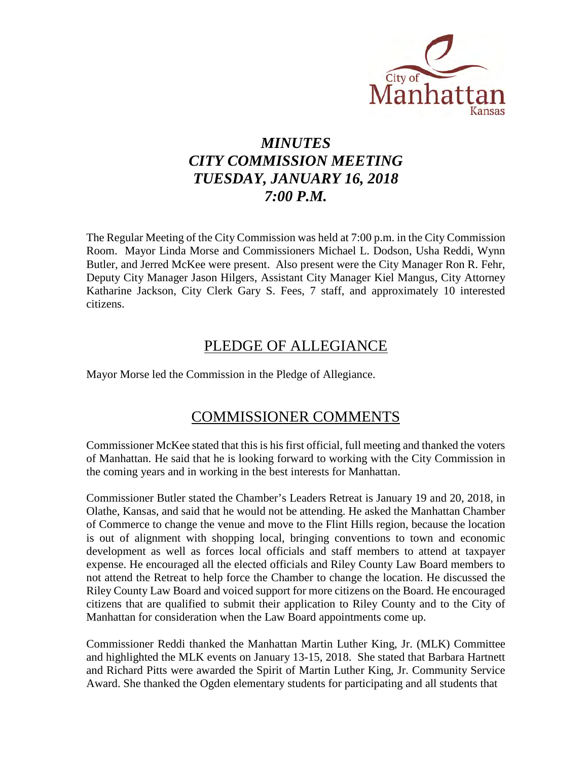

# *MINUTES CITY COMMISSION MEETING TUESDAY, JANUARY 16, 2018 7:00 P.M.*

The Regular Meeting of the City Commission was held at 7:00 p.m. in the City Commission Room. Mayor Linda Morse and Commissioners Michael L. Dodson, Usha Reddi, Wynn Butler, and Jerred McKee were present. Also present were the City Manager Ron R. Fehr, Deputy City Manager Jason Hilgers, Assistant City Manager Kiel Mangus, City Attorney Katharine Jackson, City Clerk Gary S. Fees, 7 staff, and approximately 10 interested citizens.

## PLEDGE OF ALLEGIANCE

Mayor Morse led the Commission in the Pledge of Allegiance.

## COMMISSIONER COMMENTS

Commissioner McKee stated that this is his first official, full meeting and thanked the voters of Manhattan. He said that he is looking forward to working with the City Commission in the coming years and in working in the best interests for Manhattan.

Commissioner Butler stated the Chamber's Leaders Retreat is January 19 and 20, 2018, in Olathe, Kansas, and said that he would not be attending. He asked the Manhattan Chamber of Commerce to change the venue and move to the Flint Hills region, because the location is out of alignment with shopping local, bringing conventions to town and economic development as well as forces local officials and staff members to attend at taxpayer expense. He encouraged all the elected officials and Riley County Law Board members to not attend the Retreat to help force the Chamber to change the location. He discussed the Riley County Law Board and voiced support for more citizens on the Board. He encouraged citizens that are qualified to submit their application to Riley County and to the City of Manhattan for consideration when the Law Board appointments come up.

Commissioner Reddi thanked the Manhattan Martin Luther King, Jr. (MLK) Committee and highlighted the MLK events on January 13-15, 2018. She stated that Barbara Hartnett and Richard Pitts were awarded the Spirit of Martin Luther King, Jr. Community Service Award. She thanked the Ogden elementary students for participating and all students that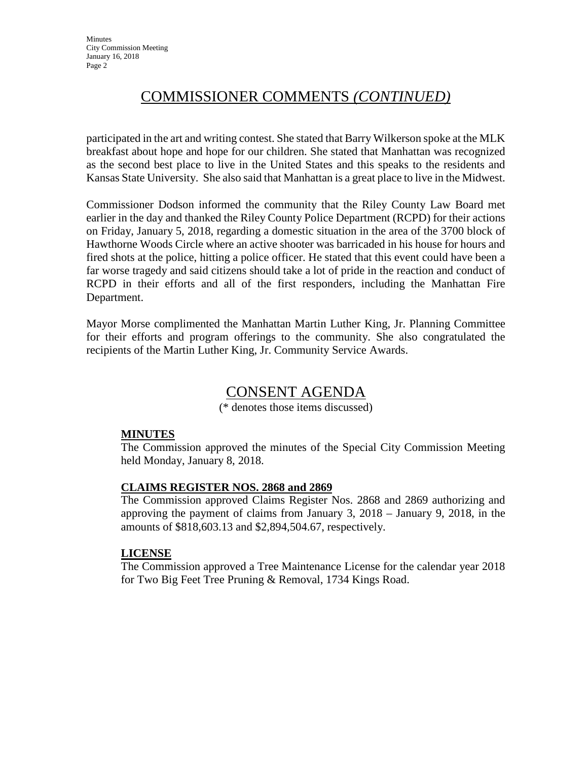# COMMISSIONER COMMENTS *(CONTINUED)*

participated in the art and writing contest. She stated that Barry Wilkerson spoke at the MLK breakfast about hope and hope for our children. She stated that Manhattan was recognized as the second best place to live in the United States and this speaks to the residents and Kansas State University. She also said that Manhattan is a great place to live in the Midwest.

Commissioner Dodson informed the community that the Riley County Law Board met earlier in the day and thanked the Riley County Police Department (RCPD) for their actions on Friday, January 5, 2018, regarding a domestic situation in the area of the 3700 block of Hawthorne Woods Circle where an active shooter was barricaded in his house for hours and fired shots at the police, hitting a police officer. He stated that this event could have been a far worse tragedy and said citizens should take a lot of pride in the reaction and conduct of RCPD in their efforts and all of the first responders, including the Manhattan Fire Department.

Mayor Morse complimented the Manhattan Martin Luther King, Jr. Planning Committee for their efforts and program offerings to the community. She also congratulated the recipients of the Martin Luther King, Jr. Community Service Awards.

# CONSENT AGENDA

(\* denotes those items discussed)

### **MINUTES**

The Commission approved the minutes of the Special City Commission Meeting held Monday, January 8, 2018.

### **CLAIMS REGISTER NOS. 2868 and 2869**

The Commission approved Claims Register Nos. 2868 and 2869 authorizing and approving the payment of claims from January 3, 2018 – January 9, 2018, in the amounts of \$818,603.13 and \$2,894,504.67, respectively.

#### **LICENSE**

The Commission approved a Tree Maintenance License for the calendar year 2018 for Two Big Feet Tree Pruning & Removal, 1734 Kings Road.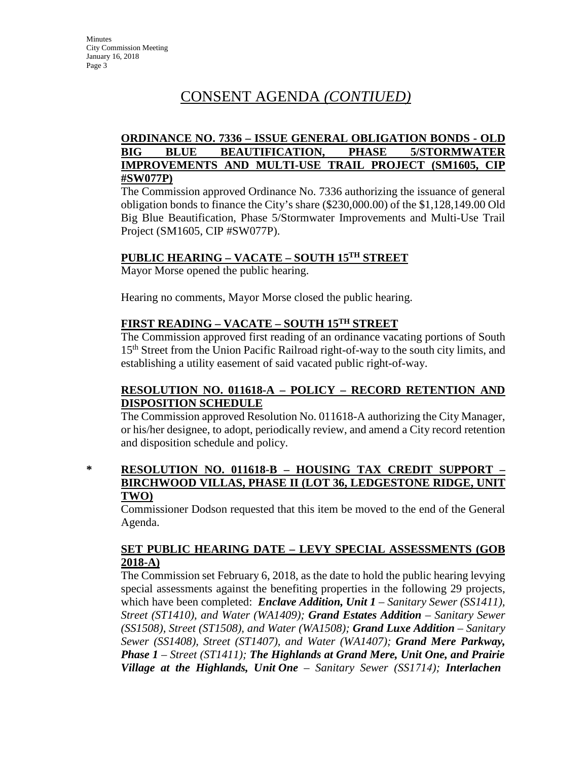## **ORDINANCE NO. 7336 – ISSUE GENERAL OBLIGATION BONDS - OLD BIG BLUE BEAUTIFICATION, PHASE 5/STORMWATER IMPROVEMENTS AND MULTI-USE TRAIL PROJECT (SM1605, CIP #SW077P)**

The Commission approved Ordinance No. 7336 authorizing the issuance of general obligation bonds to finance the City's share (\$230,000.00) of the \$1,128,149.00 Old Big Blue Beautification, Phase 5/Stormwater Improvements and Multi-Use Trail Project (SM1605, CIP #SW077P).

## **PUBLIC HEARING – VACATE – SOUTH 15TH STREET**

Mayor Morse opened the public hearing.

Hearing no comments, Mayor Morse closed the public hearing.

## **FIRST READING – VACATE – SOUTH 15TH STREET**

The Commission approved first reading of an ordinance vacating portions of South 15<sup>th</sup> Street from the Union Pacific Railroad right-of-way to the south city limits, and establishing a utility easement of said vacated public right-of-way.

## **RESOLUTION NO. 011618-A – POLICY – RECORD RETENTION AND DISPOSITION SCHEDULE**

The Commission approved Resolution No. 011618-A authorizing the City Manager, or his/her designee, to adopt, periodically review, and amend a City record retention and disposition schedule and policy.

### **\* RESOLUTION NO. 011618-B – HOUSING TAX CREDIT SUPPORT – BIRCHWOOD VILLAS, PHASE II (LOT 36, LEDGESTONE RIDGE, UNIT TWO)**

Commissioner Dodson requested that this item be moved to the end of the General Agenda.

## **SET PUBLIC HEARING DATE – LEVY SPECIAL ASSESSMENTS (GOB 2018-A)**

The Commission set February 6, 2018, as the date to hold the public hearing levying special assessments against the benefiting properties in the following 29 projects, which have been completed: *Enclave Addition, Unit 1 – Sanitary Sewer (SS1411), Street (ST1410), and Water (WA1409); Grand Estates Addition – Sanitary Sewer (SS1508), Street (ST1508), and Water (WA1508); Grand Luxe Addition* – *Sanitary Sewer (SS1408), Street (ST1407), and Water (WA1407); Grand Mere Parkway, Phase 1* – *Street (ST1411); The Highlands at Grand Mere, Unit One, and Prairie Village at the Highlands, Unit One* – *Sanitary Sewer (SS1714); Interlachen*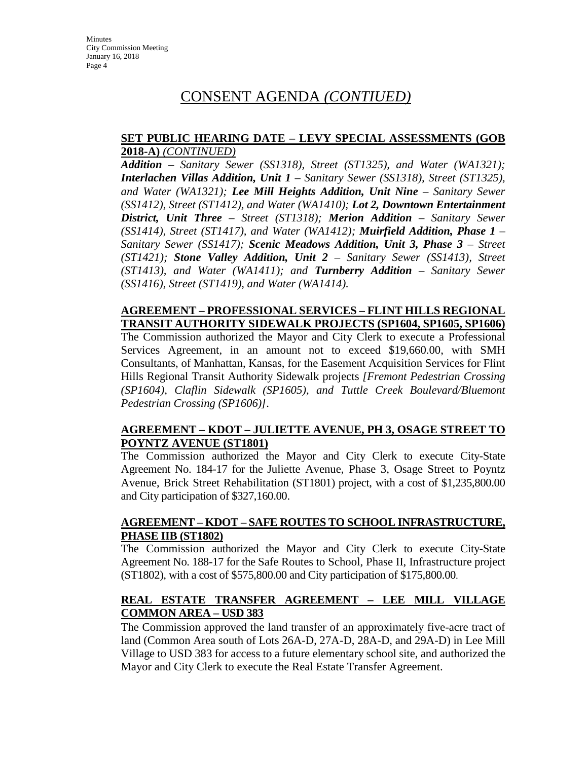**Minutes** City Commission Meeting January 16, 2018 Page 4

## CONSENT AGENDA *(CONTIUED)*

#### **SET PUBLIC HEARING DATE – LEVY SPECIAL ASSESSMENTS (GOB 2018-A)** *(CONTINUED)*

*Addition – Sanitary Sewer (SS1318), Street (ST1325), and Water (WA1321); Interlachen Villas Addition, Unit 1 – Sanitary Sewer (SS1318), Street (ST1325), and Water (WA1321); Lee Mill Heights Addition, Unit Nine – Sanitary Sewer (SS1412), Street (ST1412), and Water (WA1410); Lot 2, Downtown Entertainment District, Unit Three – Street (ST1318); Merion Addition – Sanitary Sewer (SS1414), Street (ST1417), and Water (WA1412); Muirfield Addition, Phase 1 – Sanitary Sewer (SS1417); Scenic Meadows Addition, Unit 3, Phase 3 – Street (ST1421); Stone Valley Addition, Unit 2 – Sanitary Sewer (SS1413), Street (ST1413), and Water (WA1411); and Turnberry Addition – Sanitary Sewer (SS1416), Street (ST1419), and Water (WA1414).*

#### **AGREEMENT – PROFESSIONAL SERVICES – FLINT HILLS REGIONAL TRANSIT AUTHORITY SIDEWALK PROJECTS (SP1604, SP1605, SP1606)**

The Commission authorized the Mayor and City Clerk to execute a Professional Services Agreement, in an amount not to exceed \$19,660.00, with SMH Consultants, of Manhattan, Kansas, for the Easement Acquisition Services for Flint Hills Regional Transit Authority Sidewalk projects *[Fremont Pedestrian Crossing (SP1604), Claflin Sidewalk (SP1605), and Tuttle Creek Boulevard/Bluemont Pedestrian Crossing (SP1606)]*.

### **AGREEMENT – KDOT – JULIETTE AVENUE, PH 3, OSAGE STREET TO POYNTZ AVENUE (ST1801)**

The Commission authorized the Mayor and City Clerk to execute City-State Agreement No. 184-17 for the Juliette Avenue, Phase 3, Osage Street to Poyntz Avenue, Brick Street Rehabilitation (ST1801) project, with a cost of \$1,235,800.00 and City participation of \$327,160.00.

### **AGREEMENT – KDOT – SAFE ROUTES TO SCHOOL INFRASTRUCTURE, PHASE IIB (ST1802)**

The Commission authorized the Mayor and City Clerk to execute City-State Agreement No. 188-17 for the Safe Routes to School, Phase II, Infrastructure project (ST1802), with a cost of \$575,800.00 and City participation of \$175,800.00.

### **REAL ESTATE TRANSFER AGREEMENT – LEE MILL VILLAGE COMMON AREA – USD 383**

The Commission approved the land transfer of an approximately five-acre tract of land (Common Area south of Lots 26A-D, 27A-D, 28A-D, and 29A-D) in Lee Mill Village to USD 383 for access to a future elementary school site, and authorized the Mayor and City Clerk to execute the Real Estate Transfer Agreement.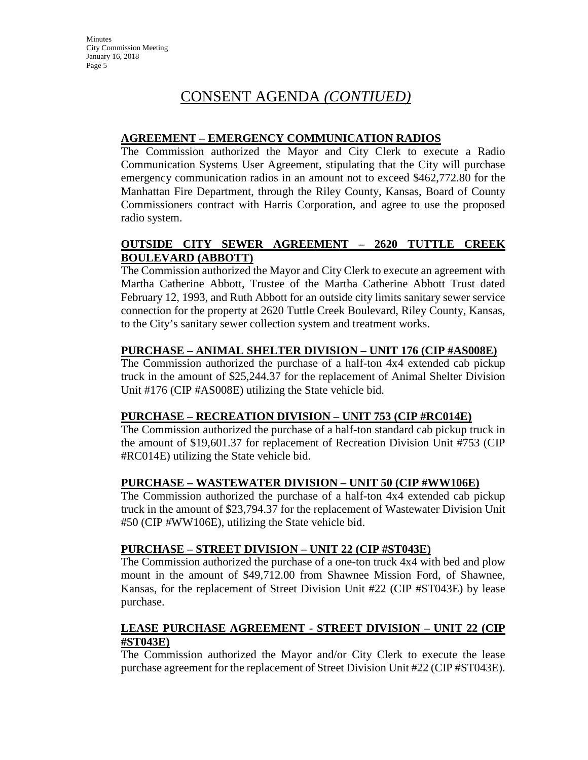## **AGREEMENT – EMERGENCY COMMUNICATION RADIOS**

The Commission authorized the Mayor and City Clerk to execute a Radio Communication Systems User Agreement, stipulating that the City will purchase emergency communication radios in an amount not to exceed \$462,772.80 for the Manhattan Fire Department, through the Riley County, Kansas, Board of County Commissioners contract with Harris Corporation, and agree to use the proposed radio system.

## **OUTSIDE CITY SEWER AGREEMENT – 2620 TUTTLE CREEK BOULEVARD (ABBOTT)**

The Commission authorized the Mayor and City Clerk to execute an agreement with Martha Catherine Abbott, Trustee of the Martha Catherine Abbott Trust dated February 12, 1993, and Ruth Abbott for an outside city limits sanitary sewer service connection for the property at 2620 Tuttle Creek Boulevard, Riley County, Kansas, to the City's sanitary sewer collection system and treatment works.

## **PURCHASE – ANIMAL SHELTER DIVISION – UNIT 176 (CIP #AS008E)**

The Commission authorized the purchase of a half-ton 4x4 extended cab pickup truck in the amount of \$25,244.37 for the replacement of Animal Shelter Division Unit #176 (CIP #AS008E) utilizing the State vehicle bid.

### **PURCHASE – RECREATION DIVISION – UNIT 753 (CIP #RC014E)**

The Commission authorized the purchase of a half-ton standard cab pickup truck in the amount of \$19,601.37 for replacement of Recreation Division Unit #753 (CIP #RC014E) utilizing the State vehicle bid.

### **PURCHASE – WASTEWATER DIVISION – UNIT 50 (CIP #WW106E)**

The Commission authorized the purchase of a half-ton 4x4 extended cab pickup truck in the amount of \$23,794.37 for the replacement of Wastewater Division Unit #50 (CIP #WW106E), utilizing the State vehicle bid.

### **PURCHASE – STREET DIVISION – UNIT 22 (CIP #ST043E)**

The Commission authorized the purchase of a one-ton truck 4x4 with bed and plow mount in the amount of \$49,712.00 from Shawnee Mission Ford, of Shawnee, Kansas, for the replacement of Street Division Unit #22 (CIP #ST043E) by lease purchase.

## **LEASE PURCHASE AGREEMENT - STREET DIVISION – UNIT 22 (CIP #ST043E)**

The Commission authorized the Mayor and/or City Clerk to execute the lease purchase agreement for the replacement of Street Division Unit #22 (CIP #ST043E).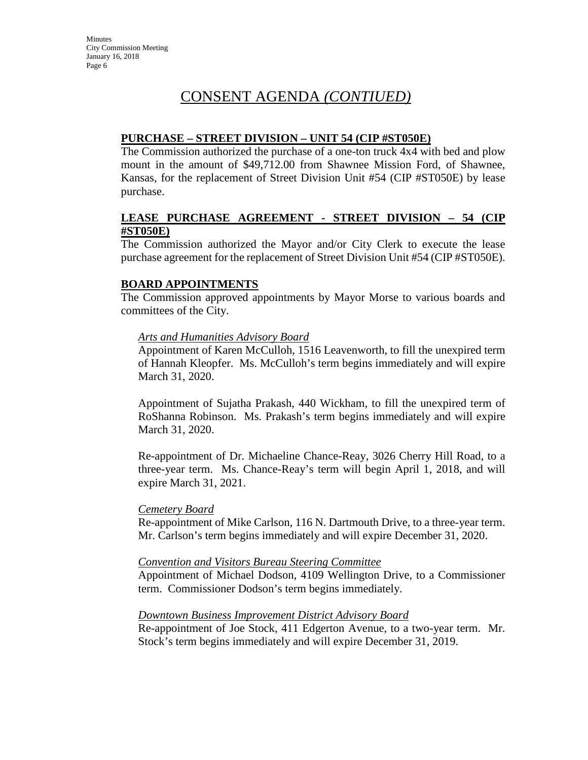### **PURCHASE – STREET DIVISION – UNIT 54 (CIP #ST050E)**

The Commission authorized the purchase of a one-ton truck 4x4 with bed and plow mount in the amount of \$49,712.00 from Shawnee Mission Ford, of Shawnee, Kansas, for the replacement of Street Division Unit #54 (CIP #ST050E) by lease purchase.

### **LEASE PURCHASE AGREEMENT - STREET DIVISION – 54 (CIP #ST050E)**

The Commission authorized the Mayor and/or City Clerk to execute the lease purchase agreement for the replacement of Street Division Unit #54 (CIP #ST050E).

### **BOARD APPOINTMENTS**

The Commission approved appointments by Mayor Morse to various boards and committees of the City.

### *Arts and Humanities Advisory Board*

Appointment of Karen McCulloh, 1516 Leavenworth, to fill the unexpired term of Hannah Kleopfer. Ms. McCulloh's term begins immediately and will expire March 31, 2020.

Appointment of Sujatha Prakash, 440 Wickham, to fill the unexpired term of RoShanna Robinson. Ms. Prakash's term begins immediately and will expire March 31, 2020.

Re-appointment of Dr. Michaeline Chance-Reay, 3026 Cherry Hill Road, to a three-year term. Ms. Chance-Reay's term will begin April 1, 2018, and will expire March 31, 2021.

#### *Cemetery Board*

Re-appointment of Mike Carlson, 116 N. Dartmouth Drive, to a three-year term. Mr. Carlson's term begins immediately and will expire December 31, 2020.

#### *Convention and Visitors Bureau Steering Committee*

Appointment of Michael Dodson, 4109 Wellington Drive, to a Commissioner term. Commissioner Dodson's term begins immediately.

#### *Downtown Business Improvement District Advisory Board*

Re-appointment of Joe Stock, 411 Edgerton Avenue, to a two-year term. Mr. Stock's term begins immediately and will expire December 31, 2019.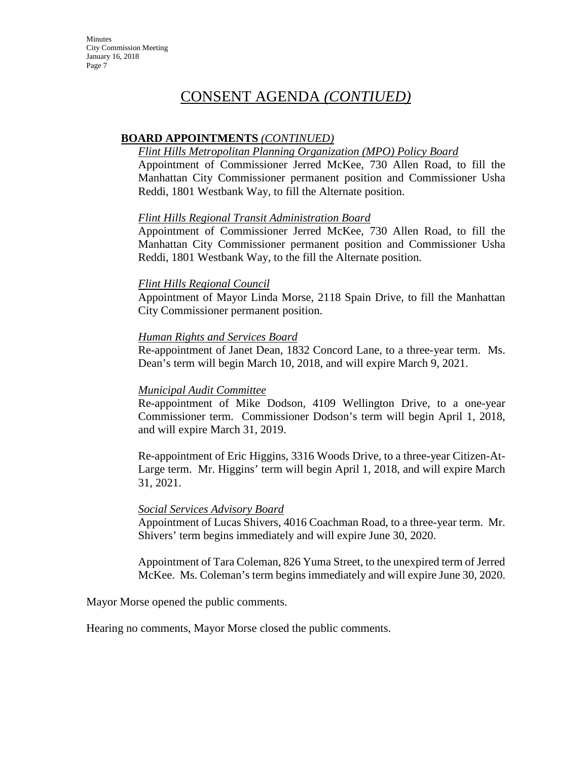**Minutes** City Commission Meeting January 16, 2018 Page 7

# CONSENT AGENDA *(CONTIUED)*

### **BOARD APPOINTMENTS** *(CONTINUED)*

#### *Flint Hills Metropolitan Planning Organization (MPO) Policy Board*

Appointment of Commissioner Jerred McKee, 730 Allen Road, to fill the Manhattan City Commissioner permanent position and Commissioner Usha Reddi, 1801 Westbank Way, to fill the Alternate position.

### *Flint Hills Regional Transit Administration Board*

Appointment of Commissioner Jerred McKee, 730 Allen Road, to fill the Manhattan City Commissioner permanent position and Commissioner Usha Reddi, 1801 Westbank Way, to the fill the Alternate position.

### *Flint Hills Regional Council*

Appointment of Mayor Linda Morse, 2118 Spain Drive, to fill the Manhattan City Commissioner permanent position.

### *Human Rights and Services Board*

Re-appointment of Janet Dean, 1832 Concord Lane, to a three-year term. Ms. Dean's term will begin March 10, 2018, and will expire March 9, 2021.

#### *Municipal Audit Committee*

Re-appointment of Mike Dodson, 4109 Wellington Drive, to a one-year Commissioner term. Commissioner Dodson's term will begin April 1, 2018, and will expire March 31, 2019.

Re-appointment of Eric Higgins, 3316 Woods Drive, to a three-year Citizen-At-Large term. Mr. Higgins' term will begin April 1, 2018, and will expire March 31, 2021.

#### *Social Services Advisory Board*

Appointment of Lucas Shivers, 4016 Coachman Road, to a three-year term. Mr. Shivers' term begins immediately and will expire June 30, 2020.

Appointment of Tara Coleman, 826 Yuma Street, to the unexpired term of Jerred McKee. Ms. Coleman's term begins immediately and will expire June 30, 2020.

Mayor Morse opened the public comments.

Hearing no comments, Mayor Morse closed the public comments.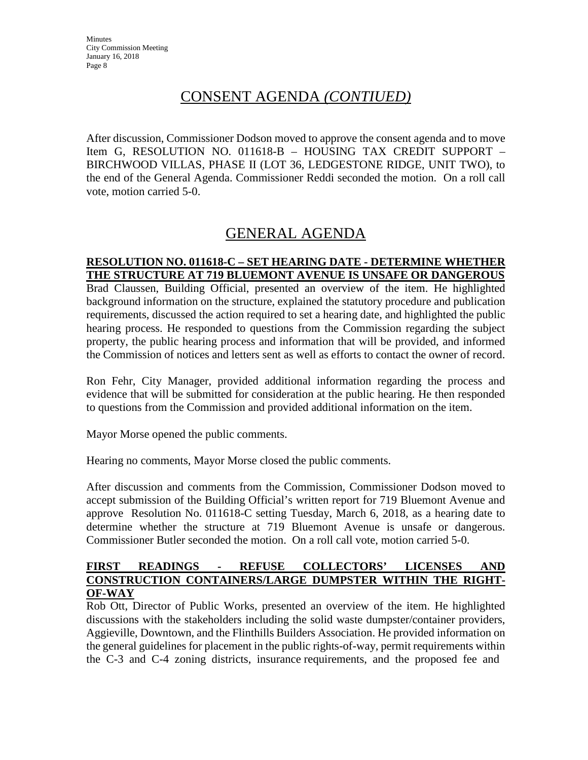After discussion, Commissioner Dodson moved to approve the consent agenda and to move Item G, RESOLUTION NO. 011618-B – HOUSING TAX CREDIT SUPPORT – BIRCHWOOD VILLAS, PHASE II (LOT 36, LEDGESTONE RIDGE, UNIT TWO), to the end of the General Agenda. Commissioner Reddi seconded the motion. On a roll call vote, motion carried 5-0.

# GENERAL AGENDA

### **RESOLUTION NO. 011618-C – SET HEARING DATE - DETERMINE WHETHER THE STRUCTURE AT 719 BLUEMONT AVENUE IS UNSAFE OR DANGEROUS**

Brad Claussen, Building Official, presented an overview of the item. He highlighted background information on the structure, explained the statutory procedure and publication requirements, discussed the action required to set a hearing date, and highlighted the public hearing process. He responded to questions from the Commission regarding the subject property, the public hearing process and information that will be provided, and informed the Commission of notices and letters sent as well as efforts to contact the owner of record.

Ron Fehr, City Manager, provided additional information regarding the process and evidence that will be submitted for consideration at the public hearing. He then responded to questions from the Commission and provided additional information on the item.

Mayor Morse opened the public comments.

Hearing no comments, Mayor Morse closed the public comments.

After discussion and comments from the Commission, Commissioner Dodson moved to accept submission of the Building Official's written report for 719 Bluemont Avenue and approve Resolution No. 011618-C setting Tuesday, March 6, 2018, as a hearing date to determine whether the structure at 719 Bluemont Avenue is unsafe or dangerous. Commissioner Butler seconded the motion. On a roll call vote, motion carried 5-0.

### **FIRST READINGS - REFUSE COLLECTORS' LICENSES AND CONSTRUCTION CONTAINERS/LARGE DUMPSTER WITHIN THE RIGHT-OF-WAY**

Rob Ott, Director of Public Works, presented an overview of the item. He highlighted discussions with the stakeholders including the solid waste dumpster/container providers, Aggieville, Downtown, and the Flinthills Builders Association. He provided information on the general guidelines for placement in the public rights-of-way, permit requirements within the C-3 and C-4 zoning districts, insurance requirements, and the proposed fee and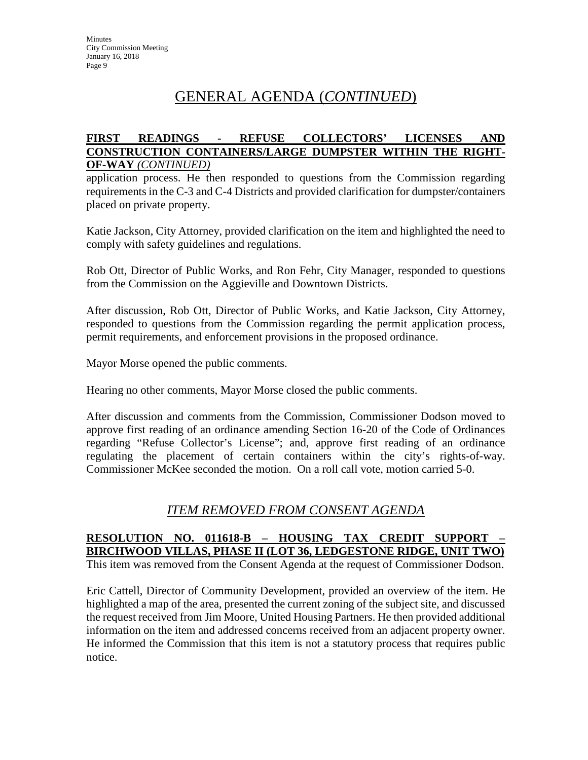# GENERAL AGENDA (*CONTINUED*)

#### **FIRST READINGS - REFUSE COLLECTORS' LICENSES AND CONSTRUCTION CONTAINERS/LARGE DUMPSTER WITHIN THE RIGHT-OF-WAY** *(CONTINUED)*

application process. He then responded to questions from the Commission regarding requirements in the C-3 and C-4 Districts and provided clarification for dumpster/containers placed on private property.

Katie Jackson, City Attorney, provided clarification on the item and highlighted the need to comply with safety guidelines and regulations.

Rob Ott, Director of Public Works, and Ron Fehr, City Manager, responded to questions from the Commission on the Aggieville and Downtown Districts.

After discussion, Rob Ott, Director of Public Works, and Katie Jackson, City Attorney, responded to questions from the Commission regarding the permit application process, permit requirements, and enforcement provisions in the proposed ordinance.

Mayor Morse opened the public comments.

Hearing no other comments, Mayor Morse closed the public comments.

After discussion and comments from the Commission, Commissioner Dodson moved to approve first reading of an ordinance amending Section 16-20 of the Code of Ordinances regarding "Refuse Collector's License"; and, approve first reading of an ordinance regulating the placement of certain containers within the city's rights-of-way. Commissioner McKee seconded the motion. On a roll call vote, motion carried 5-0.

## *ITEM REMOVED FROM CONSENT AGENDA*

## **RESOLUTION NO. 011618-B – HOUSING TAX CREDIT SUPPORT – BIRCHWOOD VILLAS, PHASE II (LOT 36, LEDGESTONE RIDGE, UNIT TWO)**

This item was removed from the Consent Agenda at the request of Commissioner Dodson.

Eric Cattell, Director of Community Development, provided an overview of the item. He highlighted a map of the area, presented the current zoning of the subject site, and discussed the request received from Jim Moore, United Housing Partners. He then provided additional information on the item and addressed concerns received from an adjacent property owner. He informed the Commission that this item is not a statutory process that requires public notice.